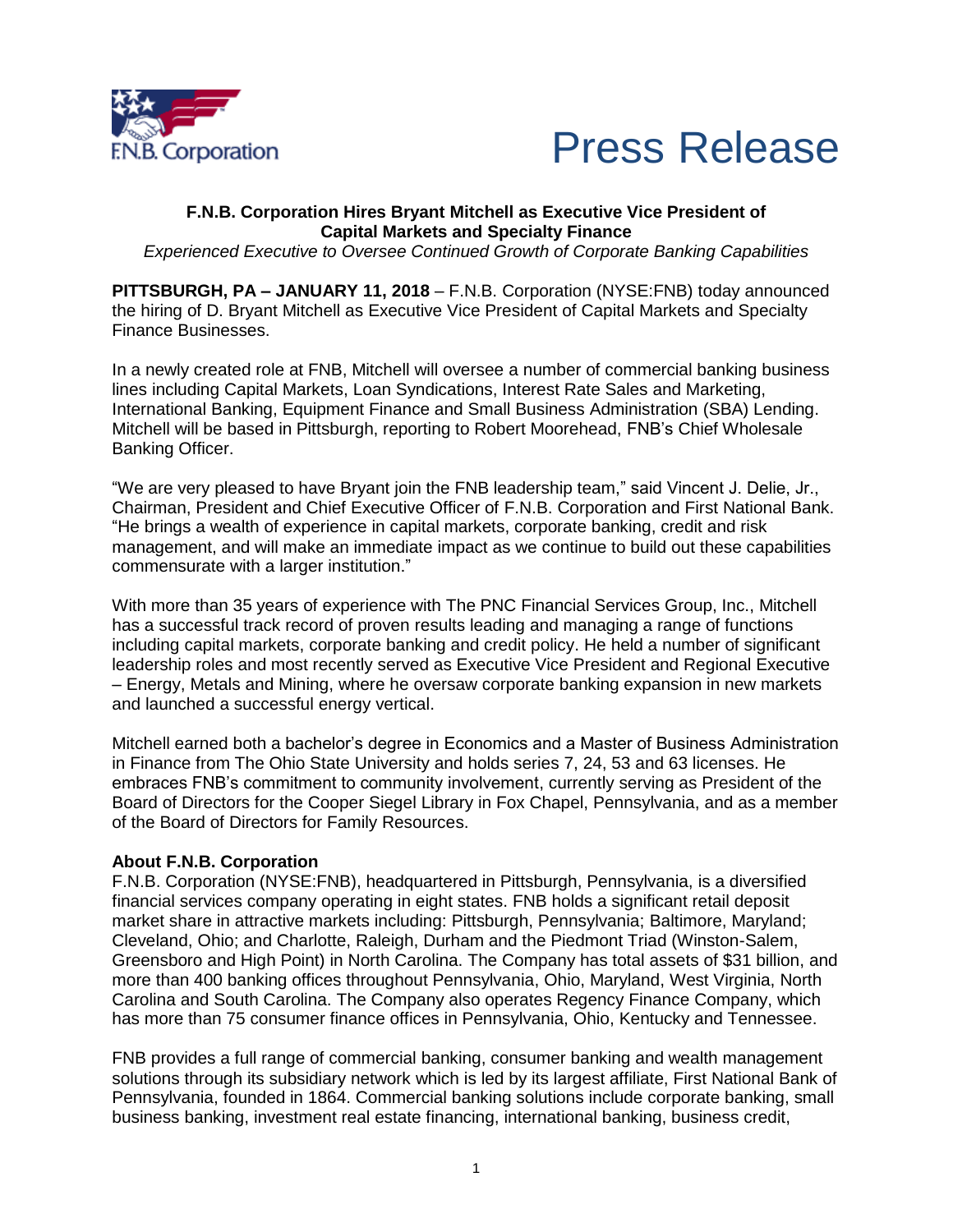



## **F.N.B. Corporation Hires Bryant Mitchell as Executive Vice President of Capital Markets and Specialty Finance**

*Experienced Executive to Oversee Continued Growth of Corporate Banking Capabilities*

**PITTSBURGH, PA – JANUARY 11, 2018** – F.N.B. Corporation (NYSE:FNB) today announced the hiring of D. Bryant Mitchell as Executive Vice President of Capital Markets and Specialty Finance Businesses.

In a newly created role at FNB, Mitchell will oversee a number of commercial banking business lines including Capital Markets, Loan Syndications, Interest Rate Sales and Marketing, International Banking, Equipment Finance and Small Business Administration (SBA) Lending. Mitchell will be based in Pittsburgh, reporting to Robert Moorehead, FNB's Chief Wholesale Banking Officer.

"We are very pleased to have Bryant join the FNB leadership team," said Vincent J. Delie, Jr., Chairman, President and Chief Executive Officer of F.N.B. Corporation and First National Bank. "He brings a wealth of experience in capital markets, corporate banking, credit and risk management, and will make an immediate impact as we continue to build out these capabilities commensurate with a larger institution."

With more than 35 years of experience with The PNC Financial Services Group, Inc., Mitchell has a successful track record of proven results leading and managing a range of functions including capital markets, corporate banking and credit policy. He held a number of significant leadership roles and most recently served as Executive Vice President and Regional Executive – Energy, Metals and Mining, where he oversaw corporate banking expansion in new markets and launched a successful energy vertical.

Mitchell earned both a bachelor's degree in Economics and a Master of Business Administration in Finance from The Ohio State University and holds series 7, 24, 53 and 63 licenses. He embraces FNB's commitment to community involvement, currently serving as President of the Board of Directors for the Cooper Siegel Library in Fox Chapel, Pennsylvania, and as a member of the Board of Directors for Family Resources.

## **About F.N.B. Corporation**

F.N.B. Corporation (NYSE:FNB), headquartered in Pittsburgh, Pennsylvania, is a diversified financial services company operating in eight states. FNB holds a significant retail deposit market share in attractive markets including: Pittsburgh, Pennsylvania; Baltimore, Maryland; Cleveland, Ohio; and Charlotte, Raleigh, Durham and the Piedmont Triad (Winston-Salem, Greensboro and High Point) in North Carolina. The Company has total assets of \$31 billion, and more than 400 banking offices throughout Pennsylvania, Ohio, Maryland, West Virginia, North Carolina and South Carolina. The Company also operates Regency Finance Company, which has more than 75 consumer finance offices in Pennsylvania, Ohio, Kentucky and Tennessee.

FNB provides a full range of commercial banking, consumer banking and wealth management solutions through its subsidiary network which is led by its largest affiliate, First National Bank of Pennsylvania, founded in 1864. Commercial banking solutions include corporate banking, small business banking, investment real estate financing, international banking, business credit,